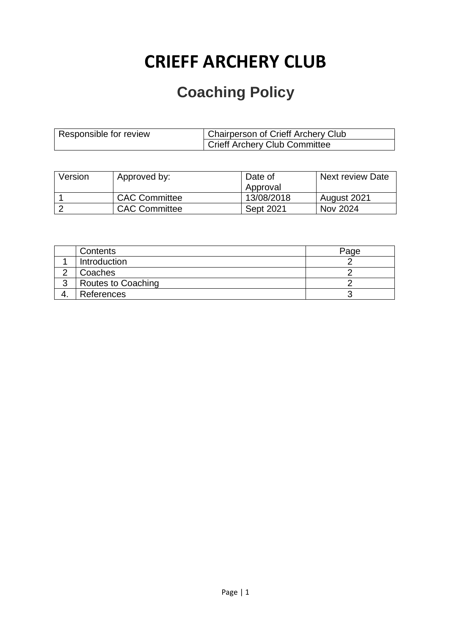# **CRIEFF ARCHERY CLUB**

## **Coaching Policy**

| Responsible for review | Chairperson of Crieff Archery Club |
|------------------------|------------------------------------|
|                        | Crieff Archery Club Committee      |

| Version | Approved by:         | Date of<br>Approval | <b>Next review Date</b> |
|---------|----------------------|---------------------|-------------------------|
|         | <b>CAC Committee</b> | 13/08/2018          | August 2021             |
|         | <b>CAC Committee</b> | <b>Sept 2021</b>    | Nov 2024                |

| Contents           | Page |
|--------------------|------|
| Introduction       |      |
| Coaches            |      |
| Routes to Coaching |      |
| References         |      |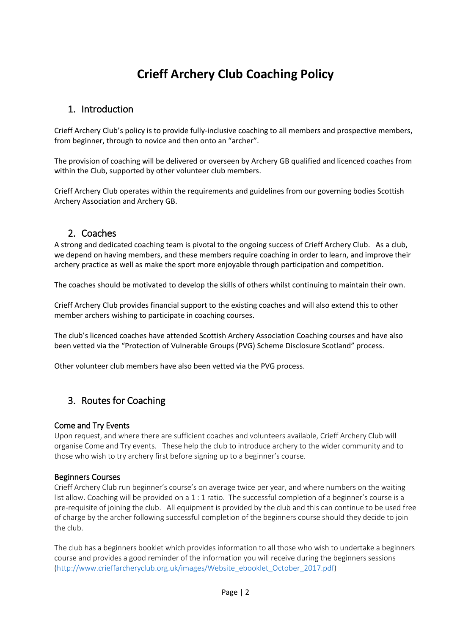### **Crieff Archery Club Coaching Policy**

#### 1. Introduction

Crieff Archery Club's policy is to provide fully-inclusive coaching to all members and prospective members, from beginner, through to novice and then onto an "archer".

The provision of coaching will be delivered or overseen by Archery GB qualified and licenced coaches from within the Club, supported by other volunteer club members.

Crieff Archery Club operates within the requirements and guidelines from our governing bodies Scottish Archery Association and Archery GB.

#### 2. Coaches

A strong and dedicated coaching team is pivotal to the ongoing success of Crieff Archery Club. As a club, we depend on having members, and these members require coaching in order to learn, and improve their archery practice as well as make the sport more enjoyable through participation and competition.

The coaches should be motivated to develop the skills of others whilst continuing to maintain their own.

Crieff Archery Club provides financial support to the existing coaches and will also extend this to other member archers wishing to participate in coaching courses.

The club's licenced coaches have attended Scottish Archery Association Coaching courses and have also been vetted via the "Protection of Vulnerable Groups (PVG) Scheme Disclosure Scotland" process.

Other volunteer club members have also been vetted via the PVG process.

#### 3. Routes for Coaching

#### Come and Try Events

Upon request, and where there are sufficient coaches and volunteers available, Crieff Archery Club will organise Come and Try events. These help the club to introduce archery to the wider community and to those who wish to try archery first before signing up to a beginner's course.

#### Beginners Courses

Crieff Archery Club run beginner's course's on average twice per year, and where numbers on the waiting list allow. Coaching will be provided on a 1 : 1 ratio. The successful completion of a beginner's course is a pre-requisite of joining the club. All equipment is provided by the club and this can continue to be used free of charge by the archer following successful completion of the beginners course should they decide to join the club.

The club has a beginners booklet which provides information to all those who wish to undertake a beginners course and provides a good reminder of the information you will receive during the beginners sessions [\(http://www.crieffarcheryclub.org.uk/images/Website\\_ebooklet\\_October\\_2017.pdf\)](http://www.crieffarcheryclub.org.uk/images/Website_ebooklet_October_2017.pdf)